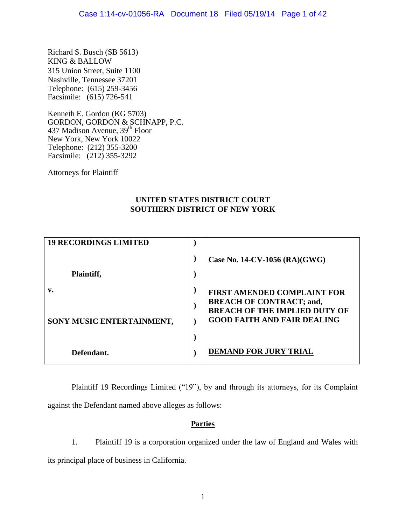Richard S. Busch (SB 5613) KING & BALLOW 315 Union Street, Suite 1100 Nashville, Tennessee 37201 Telephone: (615) 259-3456 Facsimile: (615) 726-541

Kenneth E. Gordon (KG 5703) GORDON, GORDON & SCHNAPP, P.C. 437 Madison Avenue, 39<sup>th</sup> Floor New York, New York 10022 Telephone: (212) 355-3200 Facsimile: (212) 355-3292

Attorneys for Plaintiff

## **UNITED STATES DISTRICT COURT SOUTHERN DISTRICT OF NEW YORK**

| <b>19 RECORDINGS LIMITED</b> |                                                                         |
|------------------------------|-------------------------------------------------------------------------|
|                              | Case No. $14$ -CV-1056 (RA)(GWG)                                        |
| Plaintiff,                   |                                                                         |
| v.                           | <b>FIRST AMENDED COMPLAINT FOR</b>                                      |
|                              | <b>BREACH OF CONTRACT; and,</b><br><b>BREACH OF THE IMPLIED DUTY OF</b> |
| SONY MUSIC ENTERTAINMENT,    | <b>GOOD FAITH AND FAIR DEALING</b>                                      |
|                              |                                                                         |
| Defendant.                   | <b>DEMAND FOR JURY TRIAL</b>                                            |

Plaintiff 19 Recordings Limited ("19"), by and through its attorneys, for its Complaint against the Defendant named above alleges as follows:

## **Parties**

1. Plaintiff 19 is a corporation organized under the law of England and Wales with its principal place of business in California.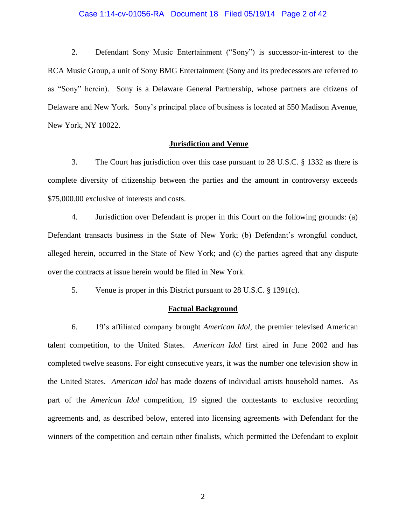### Case 1:14-cv-01056-RA Document 18 Filed 05/19/14 Page 2 of 42

2. Defendant Sony Music Entertainment ("Sony") is successor-in-interest to the RCA Music Group, a unit of Sony BMG Entertainment (Sony and its predecessors are referred to as "Sony" herein). Sony is a Delaware General Partnership, whose partners are citizens of Delaware and New York. Sony's principal place of business is located at 550 Madison Avenue, New York, NY 10022.

### **Jurisdiction and Venue**

3. The Court has jurisdiction over this case pursuant to 28 U.S.C. § 1332 as there is complete diversity of citizenship between the parties and the amount in controversy exceeds \$75,000.00 exclusive of interests and costs.

4. Jurisdiction over Defendant is proper in this Court on the following grounds: (a) Defendant transacts business in the State of New York; (b) Defendant's wrongful conduct, alleged herein, occurred in the State of New York; and (c) the parties agreed that any dispute over the contracts at issue herein would be filed in New York.

5. Venue is proper in this District pursuant to 28 U.S.C. § 1391(c).

## **Factual Background**

6. 19's affiliated company brought *American Idol*, the premier televised American talent competition, to the United States. *American Idol* first aired in June 2002 and has completed twelve seasons. For eight consecutive years, it was the number one television show in the United States. *American Idol* has made dozens of individual artists household names. As part of the *American Idol* competition, 19 signed the contestants to exclusive recording agreements and, as described below, entered into licensing agreements with Defendant for the winners of the competition and certain other finalists, which permitted the Defendant to exploit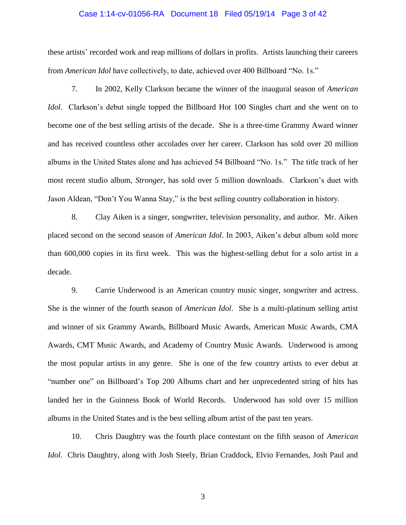# Case 1:14-cv-01056-RA Document 18 Filed 05/19/14 Page 3 of 42

these artists' recorded work and reap millions of dollars in profits. Artists launching their careers from *American Idol* have collectively, to date, achieved over 400 Billboard "No. 1s."

7. In 2002, Kelly Clarkson became the winner of the inaugural season of *American Idol*. Clarkson's debut single topped the Billboard Hot 100 Singles chart and she went on to become one of the best selling artists of the decade. She is a three-time Grammy Award winner and has received countless other accolades over her career. Clarkson has sold over 20 million albums in the United States alone and has achieved 54 Billboard "No. 1s." The title track of her most recent studio album, *Stronger*, has sold over 5 million downloads. Clarkson's duet with Jason Aldean, "Don't You Wanna Stay," is the best selling country collaboration in history.

8. Clay Aiken is a singer, songwriter, television personality, and author. Mr. Aiken placed second on the second season of *American Idol*. In 2003, Aiken's debut album sold more than 600,000 copies in its first week. This was the highest-selling debut for a solo artist in a decade.

9. Carrie Underwood is an American country music singer, songwriter and actress. She is the winner of the fourth season of *American Idol*. She is a multi-platinum selling artist and winner of six Grammy Awards, Billboard Music Awards, American Music Awards, CMA Awards, CMT Music Awards, and Academy of Country Music Awards. Underwood is among the most popular artists in any genre. She is one of the few country artists to ever debut at "number one" on Billboard's Top 200 Albums chart and her unprecedented string of hits has landed her in the Guinness Book of World Records. Underwood has sold over 15 million albums in the United States and is the best selling album artist of the past ten years.

10. Chris Daughtry was the fourth place contestant on the fifth season of *American Idol*. Chris Daughtry, along with Josh Steely, Brian Craddock, Elvio Fernandes, Josh Paul and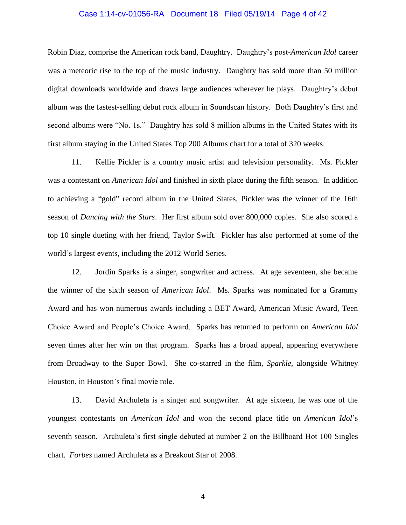### Case 1:14-cv-01056-RA Document 18 Filed 05/19/14 Page 4 of 42

Robin Diaz, comprise the American rock band, Daughtry. Daughtry's post-*American Idol* career was a meteoric rise to the top of the music industry. Daughtry has sold more than 50 million digital downloads worldwide and draws large audiences wherever he plays. Daughtry's debut album was the fastest-selling debut rock album in Soundscan history. Both Daughtry's first and second albums were "No. 1s." Daughtry has sold 8 million albums in the United States with its first album staying in the United States Top 200 Albums chart for a total of 320 weeks.

11. Kellie Pickler is a country music artist and television personality. Ms. Pickler was a contestant on *American Idol* and finished in sixth place during the fifth season. In addition to achieving a "gold" record album in the United States, Pickler was the winner of the 16th season of *Dancing with the Stars*. Her first album sold over 800,000 copies. She also scored a top 10 single dueting with her friend, Taylor Swift. Pickler has also performed at some of the world's largest events, including the 2012 World Series.

12. Jordin Sparks is a singer, songwriter and actress. At age seventeen, she became the winner of the sixth season of *American Idol*. Ms. Sparks was nominated for a Grammy Award and has won numerous awards including a BET Award, American Music Award, Teen Choice Award and People's Choice Award. Sparks has returned to perform on *American Idol* seven times after her win on that program. Sparks has a broad appeal, appearing everywhere from Broadway to the Super Bowl. She co-starred in the film, *Sparkle*, alongside Whitney Houston, in Houston's final movie role.

13. David Archuleta is a singer and songwriter. At age sixteen, he was one of the youngest contestants on *American Idol* and won the second place title on *American Idol*'s seventh season. Archuleta's first single debuted at number 2 on the Billboard Hot 100 Singles chart. *Forbes* named Archuleta as a Breakout Star of 2008.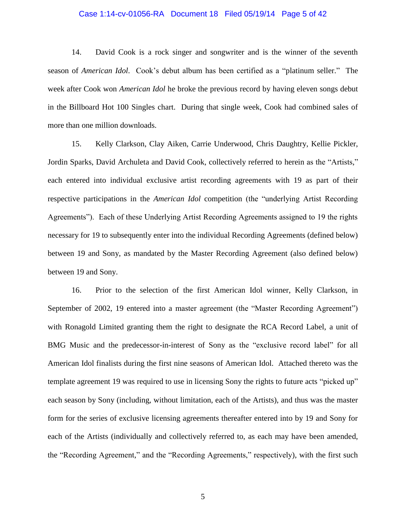### Case 1:14-cv-01056-RA Document 18 Filed 05/19/14 Page 5 of 42

14. David Cook is a rock singer and songwriter and is the winner of the seventh season of *American Idol*. Cook's debut album has been certified as a "platinum seller." The week after Cook won *American Idol* he broke the previous record by having eleven songs debut in the Billboard Hot 100 Singles chart. During that single week, Cook had combined sales of more than one million downloads.

15. Kelly Clarkson, Clay Aiken, Carrie Underwood, Chris Daughtry, Kellie Pickler, Jordin Sparks, David Archuleta and David Cook, collectively referred to herein as the "Artists," each entered into individual exclusive artist recording agreements with 19 as part of their respective participations in the *American Idol* competition (the "underlying Artist Recording Agreements"). Each of these Underlying Artist Recording Agreements assigned to 19 the rights necessary for 19 to subsequently enter into the individual Recording Agreements (defined below) between 19 and Sony, as mandated by the Master Recording Agreement (also defined below) between 19 and Sony.

16. Prior to the selection of the first American Idol winner, Kelly Clarkson, in September of 2002, 19 entered into a master agreement (the "Master Recording Agreement") with Ronagold Limited granting them the right to designate the RCA Record Label, a unit of BMG Music and the predecessor-in-interest of Sony as the "exclusive record label" for all American Idol finalists during the first nine seasons of American Idol. Attached thereto was the template agreement 19 was required to use in licensing Sony the rights to future acts "picked up" each season by Sony (including, without limitation, each of the Artists), and thus was the master form for the series of exclusive licensing agreements thereafter entered into by 19 and Sony for each of the Artists (individually and collectively referred to, as each may have been amended, the "Recording Agreement," and the "Recording Agreements," respectively), with the first such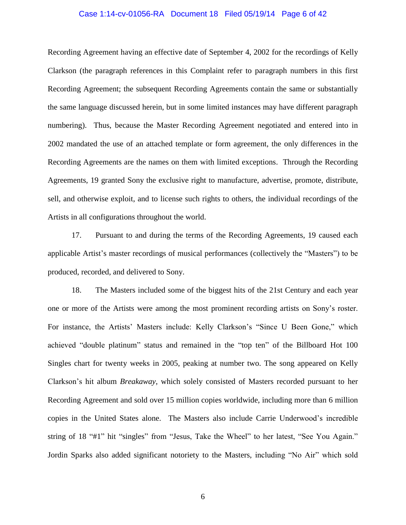# Case 1:14-cv-01056-RA Document 18 Filed 05/19/14 Page 6 of 42

Recording Agreement having an effective date of September 4, 2002 for the recordings of Kelly Clarkson (the paragraph references in this Complaint refer to paragraph numbers in this first Recording Agreement; the subsequent Recording Agreements contain the same or substantially the same language discussed herein, but in some limited instances may have different paragraph numbering). Thus, because the Master Recording Agreement negotiated and entered into in 2002 mandated the use of an attached template or form agreement, the only differences in the Recording Agreements are the names on them with limited exceptions. Through the Recording Agreements, 19 granted Sony the exclusive right to manufacture, advertise, promote, distribute, sell, and otherwise exploit, and to license such rights to others, the individual recordings of the Artists in all configurations throughout the world.

17. Pursuant to and during the terms of the Recording Agreements, 19 caused each applicable Artist's master recordings of musical performances (collectively the "Masters") to be produced, recorded, and delivered to Sony.

18. The Masters included some of the biggest hits of the 21st Century and each year one or more of the Artists were among the most prominent recording artists on Sony's roster. For instance, the Artists' Masters include: Kelly Clarkson's "Since U Been Gone," which achieved "double platinum" status and remained in the "top ten" of the Billboard Hot 100 Singles chart for twenty weeks in 2005, peaking at number two. The song appeared on Kelly Clarkson's hit album *Breakaway*, which solely consisted of Masters recorded pursuant to her Recording Agreement and sold over 15 million copies worldwide, including more than 6 million copies in the United States alone. The Masters also include Carrie Underwood's incredible string of 18 "#1" hit "singles" from "Jesus, Take the Wheel" to her latest, "See You Again." Jordin Sparks also added significant notoriety to the Masters, including "No Air" which sold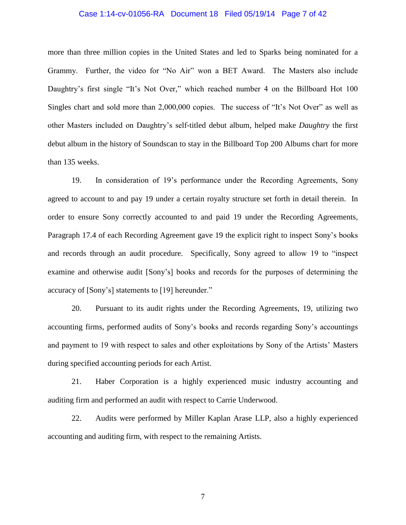### Case 1:14-cv-01056-RA Document 18 Filed 05/19/14 Page 7 of 42

more than three million copies in the United States and led to Sparks being nominated for a Grammy. Further, the video for "No Air" won a BET Award. The Masters also include Daughtry's first single "It's Not Over," which reached number 4 on the Billboard Hot 100 Singles chart and sold more than 2,000,000 copies. The success of "It's Not Over" as well as other Masters included on Daughtry's self-titled debut album, helped make *Daughtry* the first debut album in the history of Soundscan to stay in the Billboard Top 200 Albums chart for more than 135 weeks.

19. In consideration of 19's performance under the Recording Agreements, Sony agreed to account to and pay 19 under a certain royalty structure set forth in detail therein. In order to ensure Sony correctly accounted to and paid 19 under the Recording Agreements, Paragraph 17.4 of each Recording Agreement gave 19 the explicit right to inspect Sony's books and records through an audit procedure. Specifically, Sony agreed to allow 19 to "inspect examine and otherwise audit [Sony's] books and records for the purposes of determining the accuracy of [Sony's] statements to [19] hereunder."

20. Pursuant to its audit rights under the Recording Agreements, 19, utilizing two accounting firms, performed audits of Sony's books and records regarding Sony's accountings and payment to 19 with respect to sales and other exploitations by Sony of the Artists' Masters during specified accounting periods for each Artist.

21. Haber Corporation is a highly experienced music industry accounting and auditing firm and performed an audit with respect to Carrie Underwood.

22. Audits were performed by Miller Kaplan Arase LLP, also a highly experienced accounting and auditing firm, with respect to the remaining Artists.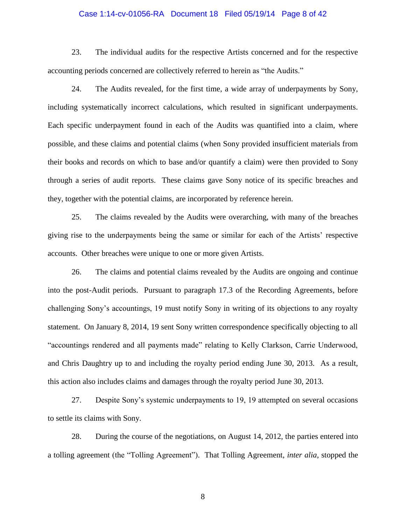### Case 1:14-cv-01056-RA Document 18 Filed 05/19/14 Page 8 of 42

23. The individual audits for the respective Artists concerned and for the respective accounting periods concerned are collectively referred to herein as "the Audits."

24. The Audits revealed, for the first time, a wide array of underpayments by Sony, including systematically incorrect calculations, which resulted in significant underpayments. Each specific underpayment found in each of the Audits was quantified into a claim, where possible, and these claims and potential claims (when Sony provided insufficient materials from their books and records on which to base and/or quantify a claim) were then provided to Sony through a series of audit reports. These claims gave Sony notice of its specific breaches and they, together with the potential claims, are incorporated by reference herein.

25. The claims revealed by the Audits were overarching, with many of the breaches giving rise to the underpayments being the same or similar for each of the Artists' respective accounts. Other breaches were unique to one or more given Artists.

26. The claims and potential claims revealed by the Audits are ongoing and continue into the post-Audit periods. Pursuant to paragraph 17.3 of the Recording Agreements, before challenging Sony's accountings, 19 must notify Sony in writing of its objections to any royalty statement. On January 8, 2014, 19 sent Sony written correspondence specifically objecting to all "accountings rendered and all payments made" relating to Kelly Clarkson, Carrie Underwood, and Chris Daughtry up to and including the royalty period ending June 30, 2013. As a result, this action also includes claims and damages through the royalty period June 30, 2013.

27. Despite Sony's systemic underpayments to 19, 19 attempted on several occasions to settle its claims with Sony.

28. During the course of the negotiations, on August 14, 2012, the parties entered into a tolling agreement (the "Tolling Agreement"). That Tolling Agreement, *inter alia*, stopped the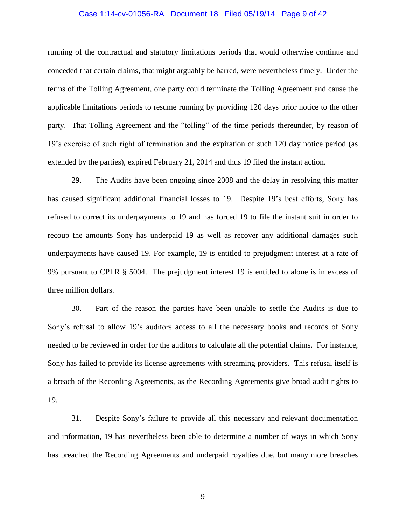# Case 1:14-cv-01056-RA Document 18 Filed 05/19/14 Page 9 of 42

running of the contractual and statutory limitations periods that would otherwise continue and conceded that certain claims, that might arguably be barred, were nevertheless timely. Under the terms of the Tolling Agreement, one party could terminate the Tolling Agreement and cause the applicable limitations periods to resume running by providing 120 days prior notice to the other party. That Tolling Agreement and the "tolling" of the time periods thereunder, by reason of 19's exercise of such right of termination and the expiration of such 120 day notice period (as extended by the parties), expired February 21, 2014 and thus 19 filed the instant action.

29. The Audits have been ongoing since 2008 and the delay in resolving this matter has caused significant additional financial losses to 19. Despite 19's best efforts, Sony has refused to correct its underpayments to 19 and has forced 19 to file the instant suit in order to recoup the amounts Sony has underpaid 19 as well as recover any additional damages such underpayments have caused 19. For example, 19 is entitled to prejudgment interest at a rate of 9% pursuant to CPLR § 5004. The prejudgment interest 19 is entitled to alone is in excess of three million dollars.

30. Part of the reason the parties have been unable to settle the Audits is due to Sony's refusal to allow 19's auditors access to all the necessary books and records of Sony needed to be reviewed in order for the auditors to calculate all the potential claims. For instance, Sony has failed to provide its license agreements with streaming providers. This refusal itself is a breach of the Recording Agreements, as the Recording Agreements give broad audit rights to 19.

31. Despite Sony's failure to provide all this necessary and relevant documentation and information, 19 has nevertheless been able to determine a number of ways in which Sony has breached the Recording Agreements and underpaid royalties due, but many more breaches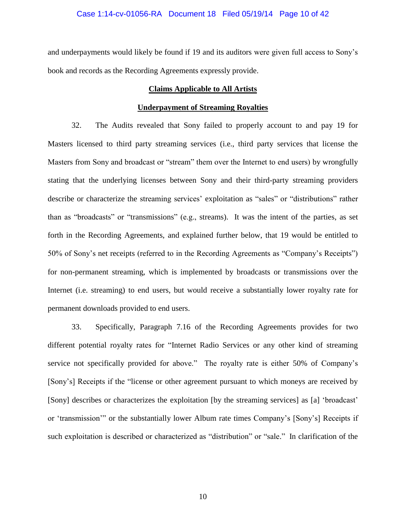### Case 1:14-cv-01056-RA Document 18 Filed 05/19/14 Page 10 of 42

and underpayments would likely be found if 19 and its auditors were given full access to Sony's book and records as the Recording Agreements expressly provide.

## **Claims Applicable to All Artists**

#### **Underpayment of Streaming Royalties**

32. The Audits revealed that Sony failed to properly account to and pay 19 for Masters licensed to third party streaming services (i.e., third party services that license the Masters from Sony and broadcast or "stream" them over the Internet to end users) by wrongfully stating that the underlying licenses between Sony and their third-party streaming providers describe or characterize the streaming services' exploitation as "sales" or "distributions" rather than as "broadcasts" or "transmissions" (e.g., streams). It was the intent of the parties, as set forth in the Recording Agreements, and explained further below, that 19 would be entitled to 50% of Sony's net receipts (referred to in the Recording Agreements as "Company's Receipts") for non-permanent streaming, which is implemented by broadcasts or transmissions over the Internet (i.e. streaming) to end users, but would receive a substantially lower royalty rate for permanent downloads provided to end users.

33. Specifically, Paragraph 7.16 of the Recording Agreements provides for two different potential royalty rates for "Internet Radio Services or any other kind of streaming service not specifically provided for above." The royalty rate is either 50% of Company's [Sony's] Receipts if the "license or other agreement pursuant to which moneys are received by [Sony] describes or characterizes the exploitation [by the streaming services] as [a] 'broadcast' or 'transmission'" or the substantially lower Album rate times Company's [Sony's] Receipts if such exploitation is described or characterized as "distribution" or "sale." In clarification of the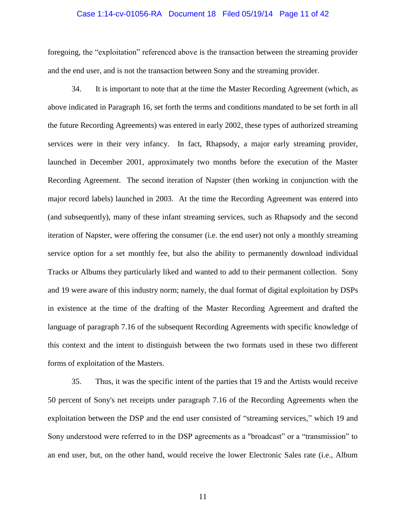### Case 1:14-cv-01056-RA Document 18 Filed 05/19/14 Page 11 of 42

foregoing, the "exploitation" referenced above is the transaction between the streaming provider and the end user, and is not the transaction between Sony and the streaming provider.

34. It is important to note that at the time the Master Recording Agreement (which, as above indicated in Paragraph 16, set forth the terms and conditions mandated to be set forth in all the future Recording Agreements) was entered in early 2002, these types of authorized streaming services were in their very infancy. In fact, Rhapsody, a major early streaming provider, launched in December 2001, approximately two months before the execution of the Master Recording Agreement. The second iteration of Napster (then working in conjunction with the major record labels) launched in 2003. At the time the Recording Agreement was entered into (and subsequently), many of these infant streaming services, such as Rhapsody and the second iteration of Napster, were offering the consumer (i.e. the end user) not only a monthly streaming service option for a set monthly fee, but also the ability to permanently download individual Tracks or Albums they particularly liked and wanted to add to their permanent collection. Sony and 19 were aware of this industry norm; namely, the dual format of digital exploitation by DSPs in existence at the time of the drafting of the Master Recording Agreement and drafted the language of paragraph 7.16 of the subsequent Recording Agreements with specific knowledge of this context and the intent to distinguish between the two formats used in these two different forms of exploitation of the Masters.

35. Thus, it was the specific intent of the parties that 19 and the Artists would receive 50 percent of Sony's net receipts under paragraph 7.16 of the Recording Agreements when the exploitation between the DSP and the end user consisted of "streaming services," which 19 and Sony understood were referred to in the DSP agreements as a "broadcast" or a "transmission" to an end user, but, on the other hand, would receive the lower Electronic Sales rate (i.e., Album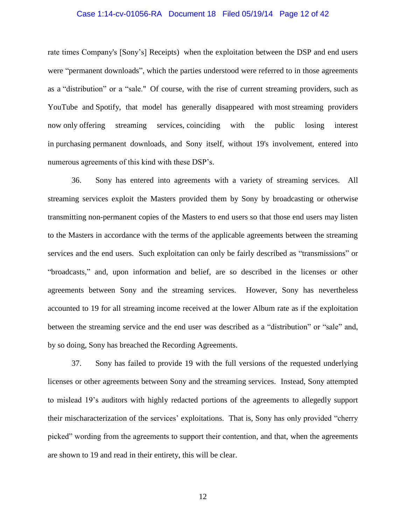### Case 1:14-cv-01056-RA Document 18 Filed 05/19/14 Page 12 of 42

rate times Company's [Sony's] Receipts) when the exploitation between the DSP and end users were "permanent downloads", which the parties understood were referred to in those agreements as a "distribution" or a "sale." Of course, with the rise of current streaming providers, such as YouTube and Spotify, that model has generally disappeared with most streaming providers now only offering streaming services, coinciding with the public losing interest in purchasing permanent downloads, and Sony itself, without 19's involvement, entered into numerous agreements of this kind with these DSP's.

36. Sony has entered into agreements with a variety of streaming services. All streaming services exploit the Masters provided them by Sony by broadcasting or otherwise transmitting non-permanent copies of the Masters to end users so that those end users may listen to the Masters in accordance with the terms of the applicable agreements between the streaming services and the end users. Such exploitation can only be fairly described as "transmissions" or "broadcasts," and, upon information and belief, are so described in the licenses or other agreements between Sony and the streaming services. However, Sony has nevertheless accounted to 19 for all streaming income received at the lower Album rate as if the exploitation between the streaming service and the end user was described as a "distribution" or "sale" and, by so doing, Sony has breached the Recording Agreements.

37. Sony has failed to provide 19 with the full versions of the requested underlying licenses or other agreements between Sony and the streaming services. Instead, Sony attempted to mislead 19's auditors with highly redacted portions of the agreements to allegedly support their mischaracterization of the services' exploitations. That is, Sony has only provided "cherry picked" wording from the agreements to support their contention, and that, when the agreements are shown to 19 and read in their entirety, this will be clear.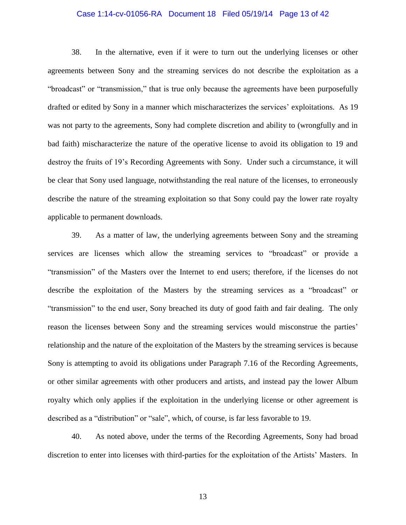### Case 1:14-cv-01056-RA Document 18 Filed 05/19/14 Page 13 of 42

38. In the alternative, even if it were to turn out the underlying licenses or other agreements between Sony and the streaming services do not describe the exploitation as a "broadcast" or "transmission," that is true only because the agreements have been purposefully drafted or edited by Sony in a manner which mischaracterizes the services' exploitations. As 19 was not party to the agreements, Sony had complete discretion and ability to (wrongfully and in bad faith) mischaracterize the nature of the operative license to avoid its obligation to 19 and destroy the fruits of 19's Recording Agreements with Sony. Under such a circumstance, it will be clear that Sony used language, notwithstanding the real nature of the licenses, to erroneously describe the nature of the streaming exploitation so that Sony could pay the lower rate royalty applicable to permanent downloads.

39. As a matter of law, the underlying agreements between Sony and the streaming services are licenses which allow the streaming services to "broadcast" or provide a "transmission" of the Masters over the Internet to end users; therefore, if the licenses do not describe the exploitation of the Masters by the streaming services as a "broadcast" or "transmission" to the end user, Sony breached its duty of good faith and fair dealing. The only reason the licenses between Sony and the streaming services would misconstrue the parties' relationship and the nature of the exploitation of the Masters by the streaming services is because Sony is attempting to avoid its obligations under Paragraph 7.16 of the Recording Agreements, or other similar agreements with other producers and artists, and instead pay the lower Album royalty which only applies if the exploitation in the underlying license or other agreement is described as a "distribution" or "sale", which, of course, is far less favorable to 19.

40. As noted above, under the terms of the Recording Agreements, Sony had broad discretion to enter into licenses with third-parties for the exploitation of the Artists' Masters. In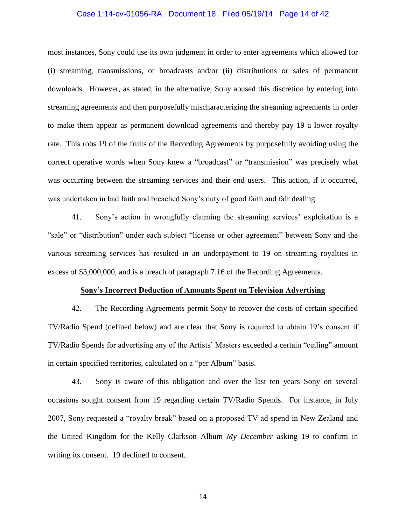### Case 1:14-cv-01056-RA Document 18 Filed 05/19/14 Page 14 of 42

most instances, Sony could use its own judgment in order to enter agreements which allowed for (i) streaming, transmissions, or broadcasts and/or (ii) distributions or sales of permanent downloads. However, as stated, in the alternative, Sony abused this discretion by entering into streaming agreements and then purposefully mischaracterizing the streaming agreements in order to make them appear as permanent download agreements and thereby pay 19 a lower royalty rate. This robs 19 of the fruits of the Recording Agreements by purposefully avoiding using the correct operative words when Sony knew a "broadcast" or "transmission" was precisely what was occurring between the streaming services and their end users. This action, if it occurred, was undertaken in bad faith and breached Sony's duty of good faith and fair dealing.

41. Sony's action in wrongfully claiming the streaming services' exploitation is a "sale" or "distribution" under each subject "license or other agreement" between Sony and the various streaming services has resulted in an underpayment to 19 on streaming royalties in excess of \$3,000,000, and is a breach of paragraph 7.16 of the Recording Agreements.

#### **Sony's Incorrect Deduction of Amounts Spent on Television Advertising**

42. The Recording Agreements permit Sony to recover the costs of certain specified TV/Radio Spend (defined below) and are clear that Sony is required to obtain 19's consent if TV/Radio Spends for advertising any of the Artists' Masters exceeded a certain "ceiling" amount in certain specified territories, calculated on a "per Album" basis.

43. Sony is aware of this obligation and over the last ten years Sony on several occasions sought consent from 19 regarding certain TV/Radio Spends. For instance, in July 2007, Sony requested a "royalty break" based on a proposed TV ad spend in New Zealand and the United Kingdom for the Kelly Clarkson Album *My December* asking 19 to confirm in writing its consent. 19 declined to consent.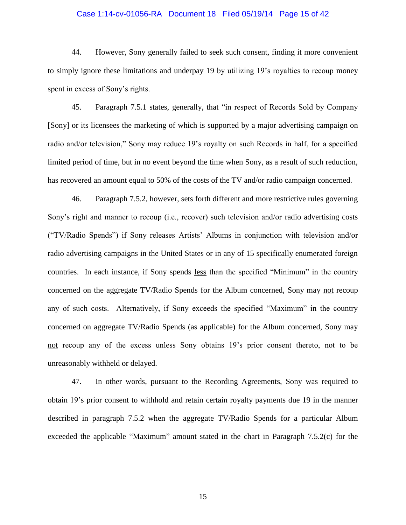### Case 1:14-cv-01056-RA Document 18 Filed 05/19/14 Page 15 of 42

44. However, Sony generally failed to seek such consent, finding it more convenient to simply ignore these limitations and underpay 19 by utilizing 19's royalties to recoup money spent in excess of Sony's rights.

45. Paragraph 7.5.1 states, generally, that "in respect of Records Sold by Company [Sony] or its licensees the marketing of which is supported by a major advertising campaign on radio and/or television," Sony may reduce 19's royalty on such Records in half, for a specified limited period of time, but in no event beyond the time when Sony, as a result of such reduction, has recovered an amount equal to 50% of the costs of the TV and/or radio campaign concerned.

46. Paragraph 7.5.2, however, sets forth different and more restrictive rules governing Sony's right and manner to recoup (i.e., recover) such television and/or radio advertising costs ("TV/Radio Spends") if Sony releases Artists' Albums in conjunction with television and/or radio advertising campaigns in the United States or in any of 15 specifically enumerated foreign countries. In each instance, if Sony spends less than the specified "Minimum" in the country concerned on the aggregate TV/Radio Spends for the Album concerned, Sony may not recoup any of such costs. Alternatively, if Sony exceeds the specified "Maximum" in the country concerned on aggregate TV/Radio Spends (as applicable) for the Album concerned, Sony may not recoup any of the excess unless Sony obtains 19's prior consent thereto, not to be unreasonably withheld or delayed.

47. In other words, pursuant to the Recording Agreements, Sony was required to obtain 19's prior consent to withhold and retain certain royalty payments due 19 in the manner described in paragraph 7.5.2 when the aggregate TV/Radio Spends for a particular Album exceeded the applicable "Maximum" amount stated in the chart in Paragraph 7.5.2(c) for the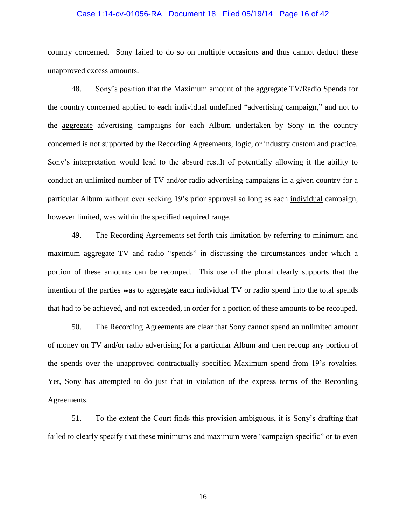### Case 1:14-cv-01056-RA Document 18 Filed 05/19/14 Page 16 of 42

country concerned. Sony failed to do so on multiple occasions and thus cannot deduct these unapproved excess amounts.

48. Sony's position that the Maximum amount of the aggregate TV/Radio Spends for the country concerned applied to each individual undefined "advertising campaign," and not to the aggregate advertising campaigns for each Album undertaken by Sony in the country concerned is not supported by the Recording Agreements, logic, or industry custom and practice. Sony's interpretation would lead to the absurd result of potentially allowing it the ability to conduct an unlimited number of TV and/or radio advertising campaigns in a given country for a particular Album without ever seeking 19's prior approval so long as each individual campaign, however limited, was within the specified required range.

49. The Recording Agreements set forth this limitation by referring to minimum and maximum aggregate TV and radio "spends" in discussing the circumstances under which a portion of these amounts can be recouped. This use of the plural clearly supports that the intention of the parties was to aggregate each individual TV or radio spend into the total spends that had to be achieved, and not exceeded, in order for a portion of these amounts to be recouped.

50. The Recording Agreements are clear that Sony cannot spend an unlimited amount of money on TV and/or radio advertising for a particular Album and then recoup any portion of the spends over the unapproved contractually specified Maximum spend from 19's royalties. Yet, Sony has attempted to do just that in violation of the express terms of the Recording Agreements.

51. To the extent the Court finds this provision ambiguous, it is Sony's drafting that failed to clearly specify that these minimums and maximum were "campaign specific" or to even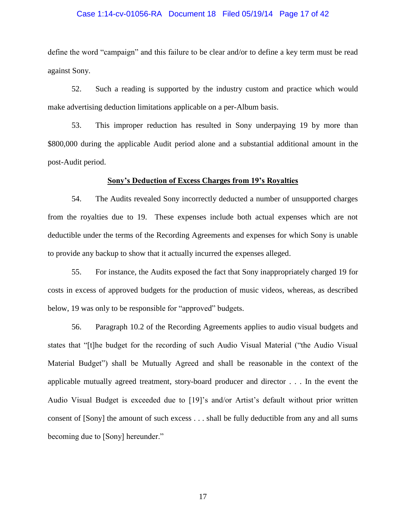### Case 1:14-cv-01056-RA Document 18 Filed 05/19/14 Page 17 of 42

define the word "campaign" and this failure to be clear and/or to define a key term must be read against Sony.

52. Such a reading is supported by the industry custom and practice which would make advertising deduction limitations applicable on a per-Album basis.

53. This improper reduction has resulted in Sony underpaying 19 by more than \$800,000 during the applicable Audit period alone and a substantial additional amount in the post-Audit period.

### **Sony's Deduction of Excess Charges from 19's Royalties**

54. The Audits revealed Sony incorrectly deducted a number of unsupported charges from the royalties due to 19. These expenses include both actual expenses which are not deductible under the terms of the Recording Agreements and expenses for which Sony is unable to provide any backup to show that it actually incurred the expenses alleged.

55. For instance, the Audits exposed the fact that Sony inappropriately charged 19 for costs in excess of approved budgets for the production of music videos, whereas, as described below, 19 was only to be responsible for "approved" budgets.

56. Paragraph 10.2 of the Recording Agreements applies to audio visual budgets and states that "[t]he budget for the recording of such Audio Visual Material ("the Audio Visual Material Budget") shall be Mutually Agreed and shall be reasonable in the context of the applicable mutually agreed treatment, story-board producer and director . . . In the event the Audio Visual Budget is exceeded due to [19]'s and/or Artist's default without prior written consent of [Sony] the amount of such excess . . . shall be fully deductible from any and all sums becoming due to [Sony] hereunder."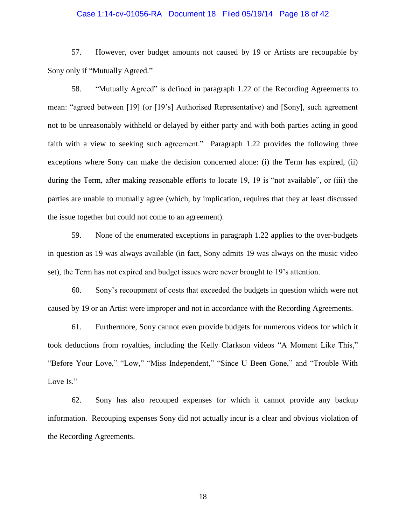### Case 1:14-cv-01056-RA Document 18 Filed 05/19/14 Page 18 of 42

57. However, over budget amounts not caused by 19 or Artists are recoupable by Sony only if "Mutually Agreed."

58. "Mutually Agreed" is defined in paragraph 1.22 of the Recording Agreements to mean: "agreed between [19] (or [19's] Authorised Representative) and [Sony], such agreement not to be unreasonably withheld or delayed by either party and with both parties acting in good faith with a view to seeking such agreement." Paragraph 1.22 provides the following three exceptions where Sony can make the decision concerned alone: (i) the Term has expired, (ii) during the Term, after making reasonable efforts to locate 19, 19 is "not available", or (iii) the parties are unable to mutually agree (which, by implication, requires that they at least discussed the issue together but could not come to an agreement).

59. None of the enumerated exceptions in paragraph 1.22 applies to the over-budgets in question as 19 was always available (in fact, Sony admits 19 was always on the music video set), the Term has not expired and budget issues were never brought to 19's attention.

60. Sony's recoupment of costs that exceeded the budgets in question which were not caused by 19 or an Artist were improper and not in accordance with the Recording Agreements.

61. Furthermore, Sony cannot even provide budgets for numerous videos for which it took deductions from royalties, including the Kelly Clarkson videos "A Moment Like This," "Before Your Love," "Low," "Miss Independent," "Since U Been Gone," and "Trouble With Love Is."

62. Sony has also recouped expenses for which it cannot provide any backup information. Recouping expenses Sony did not actually incur is a clear and obvious violation of the Recording Agreements.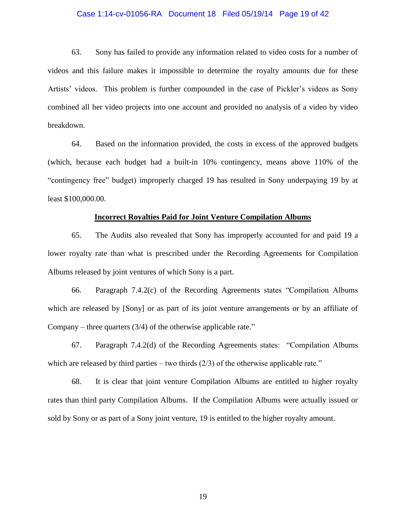#### Case 1:14-cv-01056-RA Document 18 Filed 05/19/14 Page 19 of 42

63. Sony has failed to provide any information related to video costs for a number of videos and this failure makes it impossible to determine the royalty amounts due for these Artists' videos. This problem is further compounded in the case of Pickler's videos as Sony combined all her video projects into one account and provided no analysis of a video by video breakdown.

64. Based on the information provided, the costs in excess of the approved budgets (which, because each budget had a built-in 10% contingency, means above 110% of the "contingency free" budget) improperly charged 19 has resulted in Sony underpaying 19 by at least \$100,000.00.

### **Incorrect Royalties Paid for Joint Venture Compilation Albums**

65. The Audits also revealed that Sony has improperly accounted for and paid 19 a lower royalty rate than what is prescribed under the Recording Agreements for Compilation Albums released by joint ventures of which Sony is a part.

66. Paragraph 7.4.2(c) of the Recording Agreements states "Compilation Albums which are released by [Sony] or as part of its joint venture arrangements or by an affiliate of Company – three quarters (3/4) of the otherwise applicable rate."

67. Paragraph 7.4.2(d) of the Recording Agreements states: "Compilation Albums which are released by third parties – two thirds  $(2/3)$  of the otherwise applicable rate."

68. It is clear that joint venture Compilation Albums are entitled to higher royalty rates than third party Compilation Albums. If the Compilation Albums were actually issued or sold by Sony or as part of a Sony joint venture, 19 is entitled to the higher royalty amount.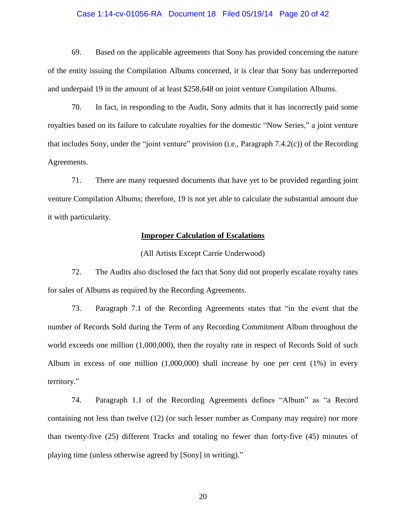### Case 1:14-cv-01056-RA Document 18 Filed 05/19/14 Page 20 of 42

69. Based on the applicable agreements that Sony has provided concerning the nature of the entity issuing the Compilation Albums concerned, it is clear that Sony has underreported and underpaid 19 in the amount of at least \$258,648 on joint venture Compilation Albums.

70. In fact, in responding to the Audit, Sony admits that it has incorrectly paid some royalties based on its failure to calculate royalties for the domestic "Now Series," a joint venture that includes Sony, under the "joint venture" provision (i.e., Paragraph 7.4.2(c)) of the Recording Agreements.

71. There are many requested documents that have yet to be provided regarding joint venture Compilation Albums; therefore, 19 is not yet able to calculate the substantial amount due it with particularity.

## **Improper Calculation of Escalations**

#### (All Artists Except Carrie Underwood)

72. The Audits also disclosed the fact that Sony did not properly escalate royalty rates for sales of Albums as required by the Recording Agreements.

73. Paragraph 7.1 of the Recording Agreements states that "in the event that the number of Records Sold during the Term of any Recording Commitment Album throughout the world exceeds one million  $(1,000,000)$ , then the royalty rate in respect of Records Sold of such Album in excess of one million (1,000,000) shall increase by one per cent (1%) in every territory."

74. Paragraph 1.1 of the Recording Agreements defines "Album" as "a Record containing not less than twelve (12) (or such lesser number as Company may require) nor more than twenty-five (25) different Tracks and totaling no fewer than forty-five (45) minutes of playing time (unless otherwise agreed by [Sony] in writing)."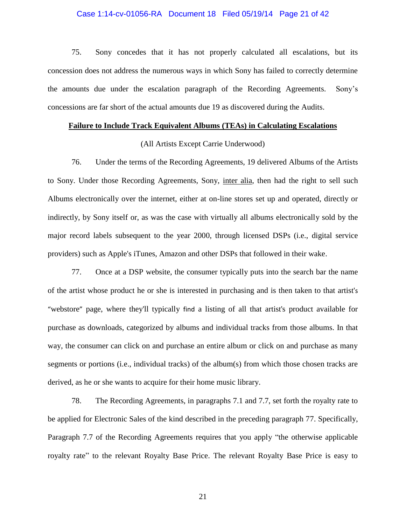### Case 1:14-cv-01056-RA Document 18 Filed 05/19/14 Page 21 of 42

75. Sony concedes that it has not properly calculated all escalations, but its concession does not address the numerous ways in which Sony has failed to correctly determine the amounts due under the escalation paragraph of the Recording Agreements. Sony's concessions are far short of the actual amounts due 19 as discovered during the Audits.

#### **Failure to Include Track Equivalent Albums (TEAs) in Calculating Escalations**

### (All Artists Except Carrie Underwood)

76. Under the terms of the Recording Agreements, 19 delivered Albums of the Artists to Sony. Under those Recording Agreements, Sony, inter alia, then had the right to sell such Albums electronically over the internet, either at on-line stores set up and operated, directly or indirectly, by Sony itself or, as was the case with virtually all albums electronically sold by the major record labels subsequent to the year 2000, through licensed DSPs (i.e., digital service providers) such as Apple's iTunes, Amazon and other DSPs that followed in their wake.

77. Once at a DSP website, the consumer typically puts into the search bar the name of the artist whose product he or she is interested in purchasing and is then taken to that artist's "webstore" page, where they'll typically find a listing of all that artist's product available for purchase as downloads, categorized by albums and individual tracks from those albums. In that way, the consumer can click on and purchase an entire album or click on and purchase as many segments or portions (i.e., individual tracks) of the album(s) from which those chosen tracks are derived, as he or she wants to acquire for their home music library.

78. The Recording Agreements, in paragraphs 7.1 and 7.7, set forth the royalty rate to be applied for Electronic Sales of the kind described in the preceding paragraph 77. Specifically, Paragraph 7.7 of the Recording Agreements requires that you apply "the otherwise applicable royalty rate" to the relevant Royalty Base Price. The relevant Royalty Base Price is easy to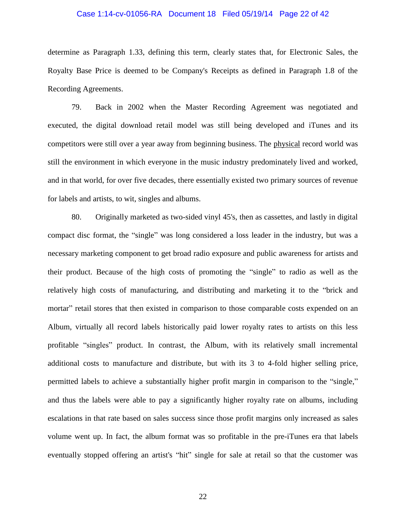### Case 1:14-cv-01056-RA Document 18 Filed 05/19/14 Page 22 of 42

determine as Paragraph 1.33, defining this term, clearly states that, for Electronic Sales, the Royalty Base Price is deemed to be Company's Receipts as defined in Paragraph 1.8 of the Recording Agreements.

79. Back in 2002 when the Master Recording Agreement was negotiated and executed, the digital download retail model was still being developed and iTunes and its competitors were still over a year away from beginning business. The physical record world was still the environment in which everyone in the music industry predominately lived and worked, and in that world, for over five decades, there essentially existed two primary sources of revenue for labels and artists, to wit, singles and albums.

80. Originally marketed as two-sided vinyl 45's, then as cassettes, and lastly in digital compact disc format, the "single" was long considered a loss leader in the industry, but was a necessary marketing component to get broad radio exposure and public awareness for artists and their product. Because of the high costs of promoting the "single" to radio as well as the relatively high costs of manufacturing, and distributing and marketing it to the "brick and mortar" retail stores that then existed in comparison to those comparable costs expended on an Album, virtually all record labels historically paid lower royalty rates to artists on this less profitable "singles" product. In contrast, the Album, with its relatively small incremental additional costs to manufacture and distribute, but with its 3 to 4-fold higher selling price, permitted labels to achieve a substantially higher profit margin in comparison to the "single," and thus the labels were able to pay a significantly higher royalty rate on albums, including escalations in that rate based on sales success since those profit margins only increased as sales volume went up. In fact, the album format was so profitable in the pre-iTunes era that labels eventually stopped offering an artist's "hit" single for sale at retail so that the customer was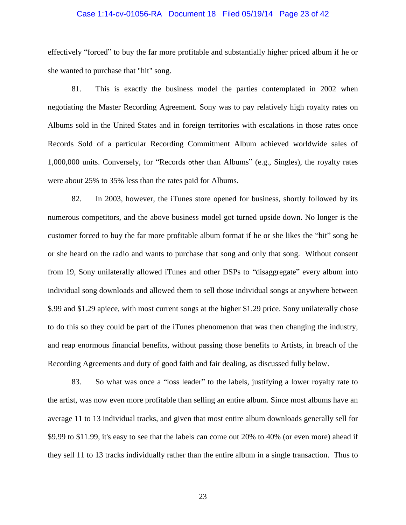### Case 1:14-cv-01056-RA Document 18 Filed 05/19/14 Page 23 of 42

effectively "forced" to buy the far more profitable and substantially higher priced album if he or she wanted to purchase that "hit" song.

81. This is exactly the business model the parties contemplated in 2002 when negotiating the Master Recording Agreement. Sony was to pay relatively high royalty rates on Albums sold in the United States and in foreign territories with escalations in those rates once Records Sold of a particular Recording Commitment Album achieved worldwide sales of 1,000,000 units. Conversely, for "Records other than Albums" (e.g., Singles), the royalty rates were about 25% to 35% less than the rates paid for Albums.

82. In 2003, however, the iTunes store opened for business, shortly followed by its numerous competitors, and the above business model got turned upside down. No longer is the customer forced to buy the far more profitable album format if he or she likes the "hit" song he or she heard on the radio and wants to purchase that song and only that song. Without consent from 19, Sony unilaterally allowed iTunes and other DSPs to "disaggregate" every album into individual song downloads and allowed them to sell those individual songs at anywhere between \$.99 and \$1.29 apiece, with most current songs at the higher \$1.29 price. Sony unilaterally chose to do this so they could be part of the iTunes phenomenon that was then changing the industry, and reap enormous financial benefits, without passing those benefits to Artists, in breach of the Recording Agreements and duty of good faith and fair dealing, as discussed fully below.

83. So what was once a "loss leader" to the labels, justifying a lower royalty rate to the artist, was now even more profitable than selling an entire album. Since most albums have an average 11 to 13 individual tracks, and given that most entire album downloads generally sell for \$9.99 to \$11.99, it's easy to see that the labels can come out 20% to 40% (or even more) ahead if they sell 11 to 13 tracks individually rather than the entire album in a single transaction. Thus to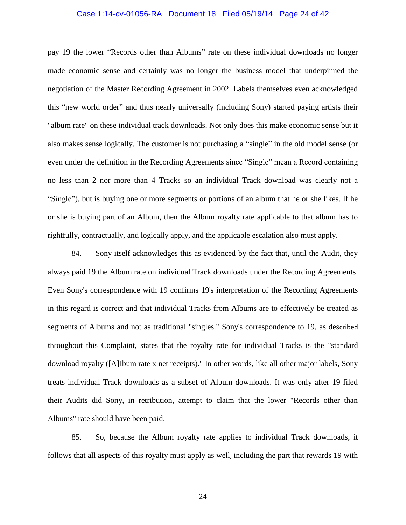### Case 1:14-cv-01056-RA Document 18 Filed 05/19/14 Page 24 of 42

pay 19 the lower "Records other than Albums" rate on these individual downloads no longer made economic sense and certainly was no longer the business model that underpinned the negotiation of the Master Recording Agreement in 2002. Labels themselves even acknowledged this "new world order" and thus nearly universally (including Sony) started paying artists their "album rate" on these individual track downloads. Not only does this make economic sense but it also makes sense logically. The customer is not purchasing a "single" in the old model sense (or even under the definition in the Recording Agreements since "Single" mean a Record containing no less than 2 nor more than 4 Tracks so an individual Track download was clearly not a "Single"), but is buying one or more segments or portions of an album that he or she likes. If he or she is buying part of an Album, then the Album royalty rate applicable to that album has to rightfully, contractually, and logically apply, and the applicable escalation also must apply.

84. Sony itself acknowledges this as evidenced by the fact that, until the Audit, they always paid 19 the Album rate on individual Track downloads under the Recording Agreements. Even Sony's correspondence with 19 confirms 19's interpretation of the Recording Agreements in this regard is correct and that individual Tracks from Albums are to effectively be treated as segments of Albums and not as traditional "singles." Sony's correspondence to 19, as described throughout this Complaint, states that the royalty rate for individual Tracks is the "standard download royalty ([A]Ibum rate x net receipts)." In other words, like all other major labels, Sony treats individual Track downloads as a subset of Album downloads. It was only after 19 filed their Audits did Sony, in retribution, attempt to claim that the lower "Records other than Albums" rate should have been paid.

85. So, because the Album royalty rate applies to individual Track downloads, it follows that all aspects of this royalty must apply as well, including the part that rewards 19 with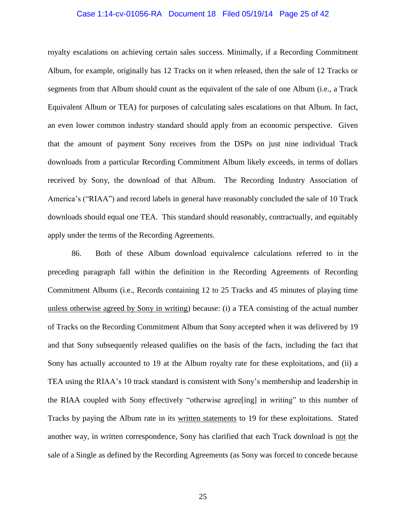### Case 1:14-cv-01056-RA Document 18 Filed 05/19/14 Page 25 of 42

royalty escalations on achieving certain sales success. Minimally, if a Recording Commitment Album, for example, originally has 12 Tracks on it when released, then the sale of 12 Tracks or segments from that Album should count as the equivalent of the sale of one Album (i.e., a Track Equivalent Album or TEA) for purposes of calculating sales escalations on that Album. In fact, an even lower common industry standard should apply from an economic perspective. Given that the amount of payment Sony receives from the DSPs on just nine individual Track downloads from a particular Recording Commitment Album likely exceeds, in terms of dollars received by Sony, the download of that Album. The Recording Industry Association of America's ("RIAA") and record labels in general have reasonably concluded the sale of 10 Track downloads should equal one TEA. This standard should reasonably, contractually, and equitably apply under the terms of the Recording Agreements.

86. Both of these Album download equivalence calculations referred to in the preceding paragraph fall within the definition in the Recording Agreements of Recording Commitment Albums (i.e., Records containing 12 to 25 Tracks and 45 minutes of playing time unless otherwise agreed by Sony in writing) because: (i) a TEA consisting of the actual number of Tracks on the Recording Commitment Album that Sony accepted when it was delivered by 19 and that Sony subsequently released qualifies on the basis of the facts, including the fact that Sony has actually accounted to 19 at the Album royalty rate for these exploitations, and (ii) a TEA using the RIAA's 10 track standard is consistent with Sony's membership and leadership in the RIAA coupled with Sony effectively "otherwise agree[ing] in writing" to this number of Tracks by paying the Album rate in its written statements to 19 for these exploitations. Stated another way, in written correspondence, Sony has clarified that each Track download is not the sale of a Single as defined by the Recording Agreements (as Sony was forced to concede because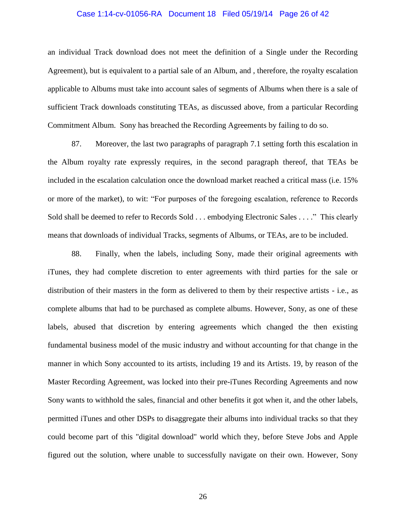### Case 1:14-cv-01056-RA Document 18 Filed 05/19/14 Page 26 of 42

an individual Track download does not meet the definition of a Single under the Recording Agreement), but is equivalent to a partial sale of an Album, and , therefore, the royalty escalation applicable to Albums must take into account sales of segments of Albums when there is a sale of sufficient Track downloads constituting TEAs, as discussed above, from a particular Recording Commitment Album. Sony has breached the Recording Agreements by failing to do so.

87. Moreover, the last two paragraphs of paragraph 7.1 setting forth this escalation in the Album royalty rate expressly requires, in the second paragraph thereof, that TEAs be included in the escalation calculation once the download market reached a critical mass (i.e. 15% or more of the market), to wit: "For purposes of the foregoing escalation, reference to Records Sold shall be deemed to refer to Records Sold . . . embodying Electronic Sales . . . ." This clearly means that downloads of individual Tracks, segments of Albums, or TEAs, are to be included.

88. Finally, when the labels, including Sony, made their original agreements with iTunes, they had complete discretion to enter agreements with third parties for the sale or distribution of their masters in the form as delivered to them by their respective artists - i.e., as complete albums that had to be purchased as complete albums. However, Sony, as one of these labels, abused that discretion by entering agreements which changed the then existing fundamental business model of the music industry and without accounting for that change in the manner in which Sony accounted to its artists, including 19 and its Artists. 19, by reason of the Master Recording Agreement, was locked into their pre-iTunes Recording Agreements and now Sony wants to withhold the sales, financial and other benefits it got when it, and the other labels, permitted iTunes and other DSPs to disaggregate their albums into individual tracks so that they could become part of this "digital download" world which they, before Steve Jobs and Apple figured out the solution, where unable to successfully navigate on their own. However, Sony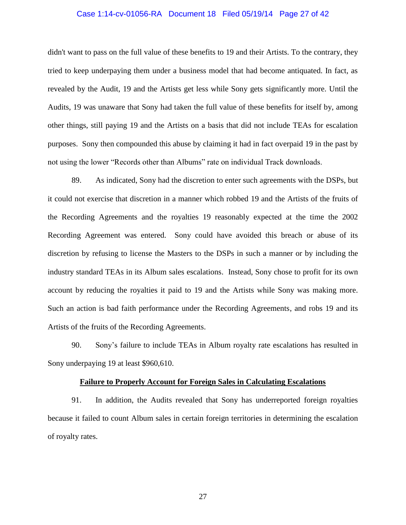### Case 1:14-cv-01056-RA Document 18 Filed 05/19/14 Page 27 of 42

didn't want to pass on the full value of these benefits to 19 and their Artists. To the contrary, they tried to keep underpaying them under a business model that had become antiquated. In fact, as revealed by the Audit, 19 and the Artists get less while Sony gets significantly more. Until the Audits, 19 was unaware that Sony had taken the full value of these benefits for itself by, among other things, still paying 19 and the Artists on a basis that did not include TEAs for escalation purposes. Sony then compounded this abuse by claiming it had in fact overpaid 19 in the past by not using the lower "Records other than Albums" rate on individual Track downloads.

89. As indicated, Sony had the discretion to enter such agreements with the DSPs, but it could not exercise that discretion in a manner which robbed 19 and the Artists of the fruits of the Recording Agreements and the royalties 19 reasonably expected at the time the 2002 Recording Agreement was entered. Sony could have avoided this breach or abuse of its discretion by refusing to license the Masters to the DSPs in such a manner or by including the industry standard TEAs in its Album sales escalations. Instead, Sony chose to profit for its own account by reducing the royalties it paid to 19 and the Artists while Sony was making more. Such an action is bad faith performance under the Recording Agreements, and robs 19 and its Artists of the fruits of the Recording Agreements.

90. Sony's failure to include TEAs in Album royalty rate escalations has resulted in Sony underpaying 19 at least \$960,610.

#### **Failure to Properly Account for Foreign Sales in Calculating Escalations**

91. In addition, the Audits revealed that Sony has underreported foreign royalties because it failed to count Album sales in certain foreign territories in determining the escalation of royalty rates.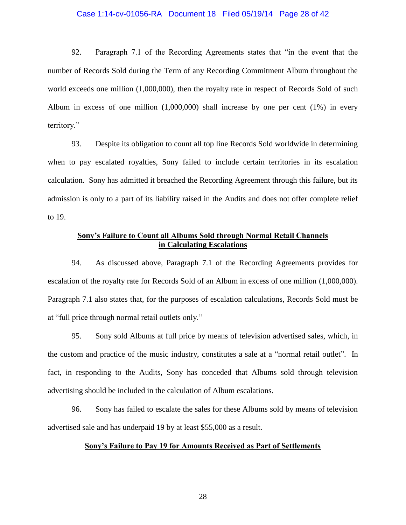### Case 1:14-cv-01056-RA Document 18 Filed 05/19/14 Page 28 of 42

92. Paragraph 7.1 of the Recording Agreements states that "in the event that the number of Records Sold during the Term of any Recording Commitment Album throughout the world exceeds one million  $(1,000,000)$ , then the royalty rate in respect of Records Sold of such Album in excess of one million (1,000,000) shall increase by one per cent (1%) in every territory."

93. Despite its obligation to count all top line Records Sold worldwide in determining when to pay escalated royalties, Sony failed to include certain territories in its escalation calculation. Sony has admitted it breached the Recording Agreement through this failure, but its admission is only to a part of its liability raised in the Audits and does not offer complete relief to 19.

## **Sony's Failure to Count all Albums Sold through Normal Retail Channels in Calculating Escalations**

94. As discussed above, Paragraph 7.1 of the Recording Agreements provides for escalation of the royalty rate for Records Sold of an Album in excess of one million (1,000,000). Paragraph 7.1 also states that, for the purposes of escalation calculations, Records Sold must be at "full price through normal retail outlets only."

95. Sony sold Albums at full price by means of television advertised sales, which, in the custom and practice of the music industry, constitutes a sale at a "normal retail outlet". In fact, in responding to the Audits, Sony has conceded that Albums sold through television advertising should be included in the calculation of Album escalations.

96. Sony has failed to escalate the sales for these Albums sold by means of television advertised sale and has underpaid 19 by at least \$55,000 as a result.

## **Sony's Failure to Pay 19 for Amounts Received as Part of Settlements**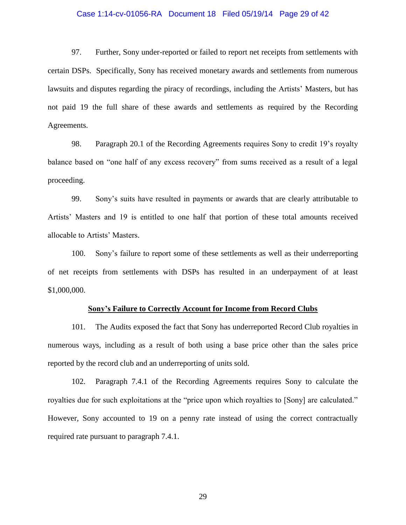### Case 1:14-cv-01056-RA Document 18 Filed 05/19/14 Page 29 of 42

97. Further, Sony under-reported or failed to report net receipts from settlements with certain DSPs. Specifically, Sony has received monetary awards and settlements from numerous lawsuits and disputes regarding the piracy of recordings, including the Artists' Masters, but has not paid 19 the full share of these awards and settlements as required by the Recording Agreements.

98. Paragraph 20.1 of the Recording Agreements requires Sony to credit 19's royalty balance based on "one half of any excess recovery" from sums received as a result of a legal proceeding.

99. Sony's suits have resulted in payments or awards that are clearly attributable to Artists' Masters and 19 is entitled to one half that portion of these total amounts received allocable to Artists' Masters.

100. Sony's failure to report some of these settlements as well as their underreporting of net receipts from settlements with DSPs has resulted in an underpayment of at least \$1,000,000.

#### **Sony's Failure to Correctly Account for Income from Record Clubs**

101. The Audits exposed the fact that Sony has underreported Record Club royalties in numerous ways, including as a result of both using a base price other than the sales price reported by the record club and an underreporting of units sold.

102. Paragraph 7.4.1 of the Recording Agreements requires Sony to calculate the royalties due for such exploitations at the "price upon which royalties to [Sony] are calculated." However, Sony accounted to 19 on a penny rate instead of using the correct contractually required rate pursuant to paragraph 7.4.1.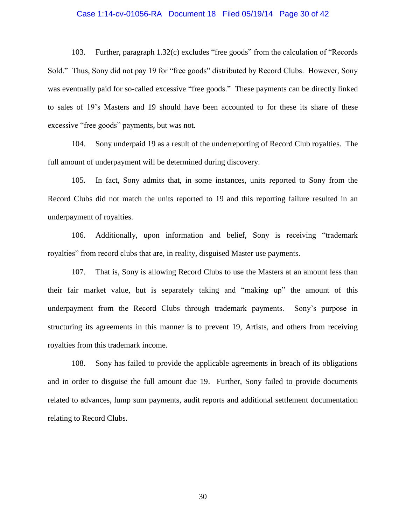### Case 1:14-cv-01056-RA Document 18 Filed 05/19/14 Page 30 of 42

103. Further, paragraph 1.32(c) excludes "free goods" from the calculation of "Records Sold." Thus, Sony did not pay 19 for "free goods" distributed by Record Clubs. However, Sony was eventually paid for so-called excessive "free goods." These payments can be directly linked to sales of 19's Masters and 19 should have been accounted to for these its share of these excessive "free goods" payments, but was not.

104. Sony underpaid 19 as a result of the underreporting of Record Club royalties. The full amount of underpayment will be determined during discovery.

105. In fact, Sony admits that, in some instances, units reported to Sony from the Record Clubs did not match the units reported to 19 and this reporting failure resulted in an underpayment of royalties.

106. Additionally, upon information and belief, Sony is receiving "trademark royalties" from record clubs that are, in reality, disguised Master use payments.

107. That is, Sony is allowing Record Clubs to use the Masters at an amount less than their fair market value, but is separately taking and "making up" the amount of this underpayment from the Record Clubs through trademark payments. Sony's purpose in structuring its agreements in this manner is to prevent 19, Artists, and others from receiving royalties from this trademark income.

108. Sony has failed to provide the applicable agreements in breach of its obligations and in order to disguise the full amount due 19. Further, Sony failed to provide documents related to advances, lump sum payments, audit reports and additional settlement documentation relating to Record Clubs.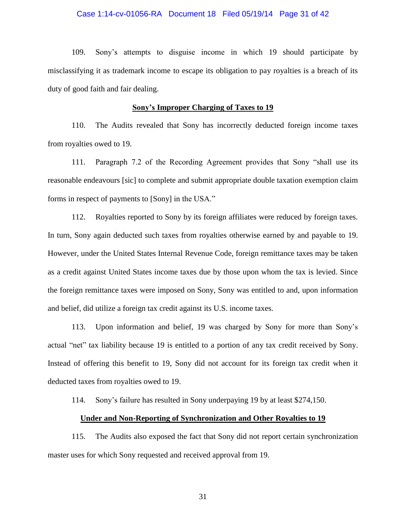#### Case 1:14-cv-01056-RA Document 18 Filed 05/19/14 Page 31 of 42

109. Sony's attempts to disguise income in which 19 should participate by misclassifying it as trademark income to escape its obligation to pay royalties is a breach of its duty of good faith and fair dealing.

### **Sony's Improper Charging of Taxes to 19**

110. The Audits revealed that Sony has incorrectly deducted foreign income taxes from royalties owed to 19.

111. Paragraph 7.2 of the Recording Agreement provides that Sony "shall use its reasonable endeavours [sic] to complete and submit appropriate double taxation exemption claim forms in respect of payments to [Sony] in the USA."

112. Royalties reported to Sony by its foreign affiliates were reduced by foreign taxes. In turn, Sony again deducted such taxes from royalties otherwise earned by and payable to 19. However, under the United States Internal Revenue Code, foreign remittance taxes may be taken as a credit against United States income taxes due by those upon whom the tax is levied. Since the foreign remittance taxes were imposed on Sony, Sony was entitled to and, upon information and belief, did utilize a foreign tax credit against its U.S. income taxes.

113. Upon information and belief, 19 was charged by Sony for more than Sony's actual "net" tax liability because 19 is entitled to a portion of any tax credit received by Sony. Instead of offering this benefit to 19, Sony did not account for its foreign tax credit when it deducted taxes from royalties owed to 19.

114. Sony's failure has resulted in Sony underpaying 19 by at least \$274,150.

## **Under and Non-Reporting of Synchronization and Other Royalties to 19**

115. The Audits also exposed the fact that Sony did not report certain synchronization master uses for which Sony requested and received approval from 19.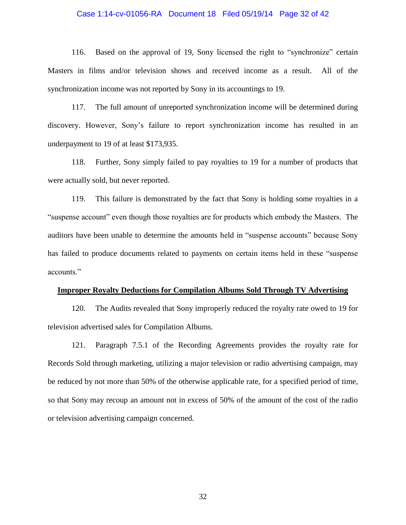### Case 1:14-cv-01056-RA Document 18 Filed 05/19/14 Page 32 of 42

116. Based on the approval of 19, Sony licensed the right to "synchronize" certain Masters in films and/or television shows and received income as a result. All of the synchronization income was not reported by Sony in its accountings to 19.

117. The full amount of unreported synchronization income will be determined during discovery. However, Sony's failure to report synchronization income has resulted in an underpayment to 19 of at least \$173,935.

118. Further, Sony simply failed to pay royalties to 19 for a number of products that were actually sold, but never reported.

119. This failure is demonstrated by the fact that Sony is holding some royalties in a "suspense account" even though those royalties are for products which embody the Masters. The auditors have been unable to determine the amounts held in "suspense accounts" because Sony has failed to produce documents related to payments on certain items held in these "suspense accounts."

#### **Improper Royalty Deductions for Compilation Albums Sold Through TV Advertising**

120. The Audits revealed that Sony improperly reduced the royalty rate owed to 19 for television advertised sales for Compilation Albums.

121. Paragraph 7.5.1 of the Recording Agreements provides the royalty rate for Records Sold through marketing, utilizing a major television or radio advertising campaign, may be reduced by not more than 50% of the otherwise applicable rate, for a specified period of time, so that Sony may recoup an amount not in excess of 50% of the amount of the cost of the radio or television advertising campaign concerned.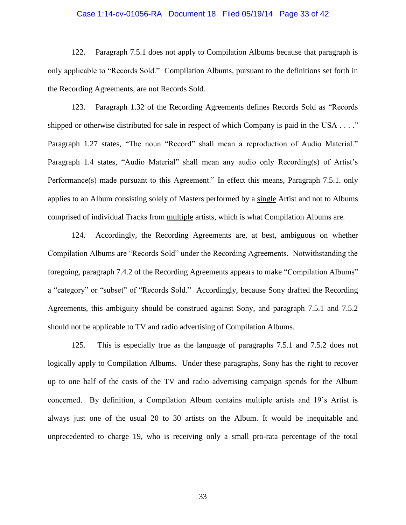### Case 1:14-cv-01056-RA Document 18 Filed 05/19/14 Page 33 of 42

122. Paragraph 7.5.1 does not apply to Compilation Albums because that paragraph is only applicable to "Records Sold." Compilation Albums, pursuant to the definitions set forth in the Recording Agreements, are not Records Sold.

123. Paragraph 1.32 of the Recording Agreements defines Records Sold as "Records shipped or otherwise distributed for sale in respect of which Company is paid in the USA . . . ." Paragraph 1.27 states, "The noun "Record" shall mean a reproduction of Audio Material." Paragraph 1.4 states, "Audio Material" shall mean any audio only Recording(s) of Artist's Performance(s) made pursuant to this Agreement." In effect this means, Paragraph 7.5.1. only applies to an Album consisting solely of Masters performed by a single Artist and not to Albums comprised of individual Tracks from multiple artists, which is what Compilation Albums are.

124. Accordingly, the Recording Agreements are, at best, ambiguous on whether Compilation Albums are "Records Sold" under the Recording Agreements. Notwithstanding the foregoing, paragraph 7.4.2 of the Recording Agreements appears to make "Compilation Albums" a "category" or "subset" of "Records Sold." Accordingly, because Sony drafted the Recording Agreements, this ambiguity should be construed against Sony, and paragraph 7.5.1 and 7.5.2 should not be applicable to TV and radio advertising of Compilation Albums.

125. This is especially true as the language of paragraphs 7.5.1 and 7.5.2 does not logically apply to Compilation Albums. Under these paragraphs, Sony has the right to recover up to one half of the costs of the TV and radio advertising campaign spends for the Album concerned. By definition, a Compilation Album contains multiple artists and 19's Artist is always just one of the usual 20 to 30 artists on the Album. It would be inequitable and unprecedented to charge 19, who is receiving only a small pro-rata percentage of the total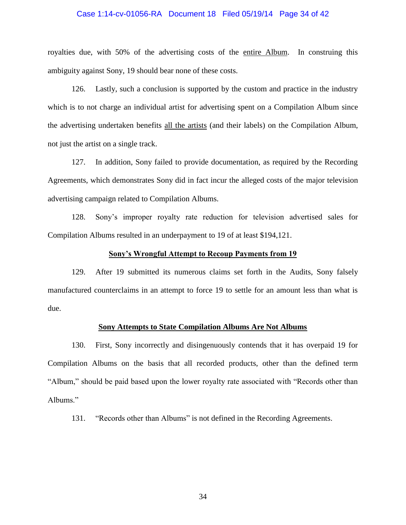### Case 1:14-cv-01056-RA Document 18 Filed 05/19/14 Page 34 of 42

royalties due, with 50% of the advertising costs of the entire Album. In construing this ambiguity against Sony, 19 should bear none of these costs.

126. Lastly, such a conclusion is supported by the custom and practice in the industry which is to not charge an individual artist for advertising spent on a Compilation Album since the advertising undertaken benefits all the artists (and their labels) on the Compilation Album, not just the artist on a single track.

127. In addition, Sony failed to provide documentation, as required by the Recording Agreements, which demonstrates Sony did in fact incur the alleged costs of the major television advertising campaign related to Compilation Albums.

128. Sony's improper royalty rate reduction for television advertised sales for Compilation Albums resulted in an underpayment to 19 of at least \$194,121.

### **Sony's Wrongful Attempt to Recoup Payments from 19**

129. After 19 submitted its numerous claims set forth in the Audits, Sony falsely manufactured counterclaims in an attempt to force 19 to settle for an amount less than what is due.

## **Sony Attempts to State Compilation Albums Are Not Albums**

130. First, Sony incorrectly and disingenuously contends that it has overpaid 19 for Compilation Albums on the basis that all recorded products, other than the defined term "Album," should be paid based upon the lower royalty rate associated with "Records other than Albums."

131. "Records other than Albums" is not defined in the Recording Agreements.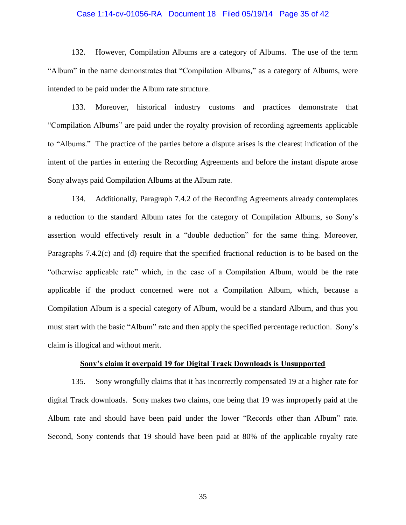### Case 1:14-cv-01056-RA Document 18 Filed 05/19/14 Page 35 of 42

132. However, Compilation Albums are a category of Albums. The use of the term "Album" in the name demonstrates that "Compilation Albums," as a category of Albums, were intended to be paid under the Album rate structure.

133. Moreover, historical industry customs and practices demonstrate that "Compilation Albums" are paid under the royalty provision of recording agreements applicable to "Albums." The practice of the parties before a dispute arises is the clearest indication of the intent of the parties in entering the Recording Agreements and before the instant dispute arose Sony always paid Compilation Albums at the Album rate.

134. Additionally, Paragraph 7.4.2 of the Recording Agreements already contemplates a reduction to the standard Album rates for the category of Compilation Albums, so Sony's assertion would effectively result in a "double deduction" for the same thing. Moreover, Paragraphs 7.4.2(c) and (d) require that the specified fractional reduction is to be based on the "otherwise applicable rate" which, in the case of a Compilation Album, would be the rate applicable if the product concerned were not a Compilation Album, which, because a Compilation Album is a special category of Album, would be a standard Album, and thus you must start with the basic "Album" rate and then apply the specified percentage reduction. Sony's claim is illogical and without merit.

#### **Sony's claim it overpaid 19 for Digital Track Downloads is Unsupported**

135. Sony wrongfully claims that it has incorrectly compensated 19 at a higher rate for digital Track downloads. Sony makes two claims, one being that 19 was improperly paid at the Album rate and should have been paid under the lower "Records other than Album" rate. Second, Sony contends that 19 should have been paid at 80% of the applicable royalty rate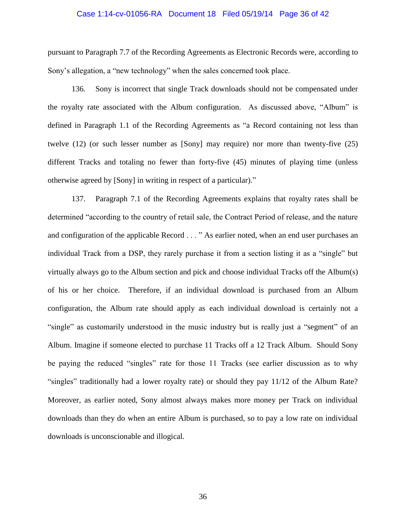### Case 1:14-cv-01056-RA Document 18 Filed 05/19/14 Page 36 of 42

pursuant to Paragraph 7.7 of the Recording Agreements as Electronic Records were, according to Sony's allegation, a "new technology" when the sales concerned took place.

136. Sony is incorrect that single Track downloads should not be compensated under the royalty rate associated with the Album configuration. As discussed above, "Album" is defined in Paragraph 1.1 of the Recording Agreements as "a Record containing not less than twelve (12) (or such lesser number as [Sony] may require) nor more than twenty-five (25) different Tracks and totaling no fewer than forty-five (45) minutes of playing time (unless otherwise agreed by [Sony] in writing in respect of a particular)."

137. Paragraph 7.1 of the Recording Agreements explains that royalty rates shall be determined "according to the country of retail sale, the Contract Period of release, and the nature and configuration of the applicable Record . . . " As earlier noted, when an end user purchases an individual Track from a DSP, they rarely purchase it from a section listing it as a "single" but virtually always go to the Album section and pick and choose individual Tracks off the Album(s) of his or her choice. Therefore, if an individual download is purchased from an Album configuration, the Album rate should apply as each individual download is certainly not a "single" as customarily understood in the music industry but is really just a "segment" of an Album. Imagine if someone elected to purchase 11 Tracks off a 12 Track Album. Should Sony be paying the reduced "singles" rate for those 11 Tracks (see earlier discussion as to why "singles" traditionally had a lower royalty rate) or should they pay 11/12 of the Album Rate? Moreover, as earlier noted, Sony almost always makes more money per Track on individual downloads than they do when an entire Album is purchased, so to pay a low rate on individual downloads is unconscionable and illogical.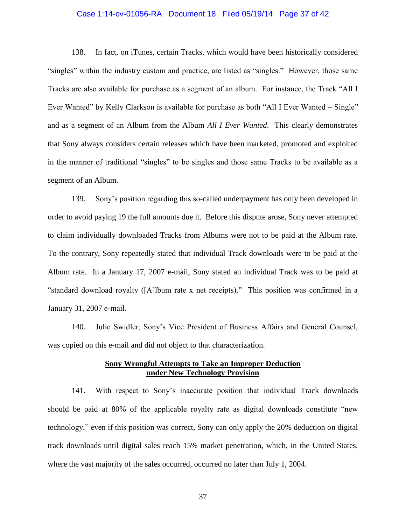### Case 1:14-cv-01056-RA Document 18 Filed 05/19/14 Page 37 of 42

138. In fact, on iTunes, certain Tracks, which would have been historically considered "singles" within the industry custom and practice, are listed as "singles." However, those same Tracks are also available for purchase as a segment of an album. For instance, the Track "All I Ever Wanted" by Kelly Clarkson is available for purchase as both "All I Ever Wanted – Single" and as a segment of an Album from the Album *All I Ever Wanted*. This clearly demonstrates that Sony always considers certain releases which have been marketed, promoted and exploited in the manner of traditional "singles" to be singles and those same Tracks to be available as a segment of an Album.

139. Sony's position regarding this so-called underpayment has only been developed in order to avoid paying 19 the full amounts due it. Before this dispute arose, Sony never attempted to claim individually downloaded Tracks from Albums were not to be paid at the Album rate. To the contrary, Sony repeatedly stated that individual Track downloads were to be paid at the Album rate. In a January 17, 2007 e-mail, Sony stated an individual Track was to be paid at "standard download royalty ([A]lbum rate x net receipts)." This position was confirmed in a January 31, 2007 e-mail.

140. Julie Swidler, Sony's Vice President of Business Affairs and General Counsel, was copied on this e-mail and did not object to that characterization.

## **Sony Wrongful Attempts to Take an Improper Deduction under New Technology Provision**

141. With respect to Sony's inaccurate position that individual Track downloads should be paid at 80% of the applicable royalty rate as digital downloads constitute "new technology," even if this position was correct, Sony can only apply the 20% deduction on digital track downloads until digital sales reach 15% market penetration, which, in the United States, where the vast majority of the sales occurred, occurred no later than July 1, 2004.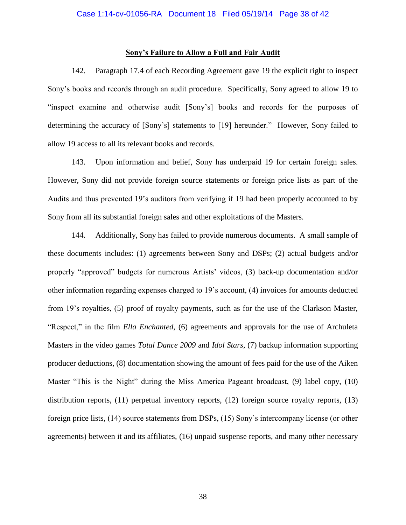## **Sony's Failure to Allow a Full and Fair Audit**

142. Paragraph 17.4 of each Recording Agreement gave 19 the explicit right to inspect Sony's books and records through an audit procedure. Specifically, Sony agreed to allow 19 to "inspect examine and otherwise audit [Sony's] books and records for the purposes of determining the accuracy of [Sony's] statements to [19] hereunder." However, Sony failed to allow 19 access to all its relevant books and records.

143. Upon information and belief, Sony has underpaid 19 for certain foreign sales. However, Sony did not provide foreign source statements or foreign price lists as part of the Audits and thus prevented 19's auditors from verifying if 19 had been properly accounted to by Sony from all its substantial foreign sales and other exploitations of the Masters.

144. Additionally, Sony has failed to provide numerous documents. A small sample of these documents includes: (1) agreements between Sony and DSPs; (2) actual budgets and/or properly "approved" budgets for numerous Artists' videos, (3) back-up documentation and/or other information regarding expenses charged to 19's account, (4) invoices for amounts deducted from 19's royalties, (5) proof of royalty payments, such as for the use of the Clarkson Master, "Respect," in the film *Ella Enchanted*, (6) agreements and approvals for the use of Archuleta Masters in the video games *Total Dance 2009* and *Idol Stars*, (7) backup information supporting producer deductions, (8) documentation showing the amount of fees paid for the use of the Aiken Master "This is the Night" during the Miss America Pageant broadcast, (9) label copy, (10) distribution reports, (11) perpetual inventory reports, (12) foreign source royalty reports, (13) foreign price lists, (14) source statements from DSPs, (15) Sony's intercompany license (or other agreements) between it and its affiliates, (16) unpaid suspense reports, and many other necessary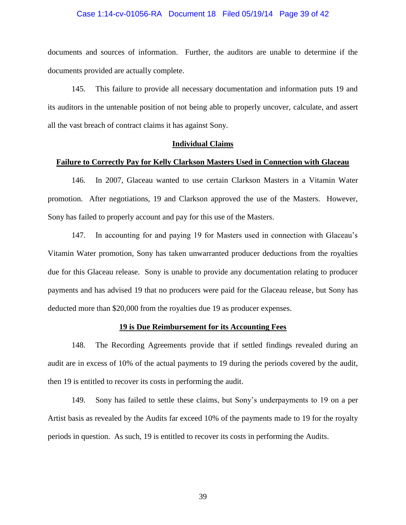### Case 1:14-cv-01056-RA Document 18 Filed 05/19/14 Page 39 of 42

documents and sources of information. Further, the auditors are unable to determine if the documents provided are actually complete.

145. This failure to provide all necessary documentation and information puts 19 and its auditors in the untenable position of not being able to properly uncover, calculate, and assert all the vast breach of contract claims it has against Sony.

### **Individual Claims**

#### **Failure to Correctly Pay for Kelly Clarkson Masters Used in Connection with Glaceau**

146. In 2007, Glaceau wanted to use certain Clarkson Masters in a Vitamin Water promotion. After negotiations, 19 and Clarkson approved the use of the Masters. However, Sony has failed to properly account and pay for this use of the Masters.

147. In accounting for and paying 19 for Masters used in connection with Glaceau's Vitamin Water promotion, Sony has taken unwarranted producer deductions from the royalties due for this Glaceau release. Sony is unable to provide any documentation relating to producer payments and has advised 19 that no producers were paid for the Glaceau release, but Sony has deducted more than \$20,000 from the royalties due 19 as producer expenses.

## **19 is Due Reimbursement for its Accounting Fees**

148. The Recording Agreements provide that if settled findings revealed during an audit are in excess of 10% of the actual payments to 19 during the periods covered by the audit, then 19 is entitled to recover its costs in performing the audit.

149. Sony has failed to settle these claims, but Sony's underpayments to 19 on a per Artist basis as revealed by the Audits far exceed 10% of the payments made to 19 for the royalty periods in question. As such, 19 is entitled to recover its costs in performing the Audits.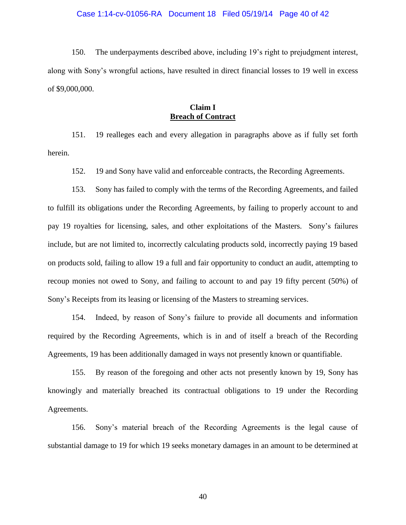### Case 1:14-cv-01056-RA Document 18 Filed 05/19/14 Page 40 of 42

150. The underpayments described above, including 19's right to prejudgment interest, along with Sony's wrongful actions, have resulted in direct financial losses to 19 well in excess of \$9,000,000.

# **Claim I Breach of Contract**

151. 19 realleges each and every allegation in paragraphs above as if fully set forth herein.

152. 19 and Sony have valid and enforceable contracts, the Recording Agreements.

153. Sony has failed to comply with the terms of the Recording Agreements, and failed to fulfill its obligations under the Recording Agreements, by failing to properly account to and pay 19 royalties for licensing, sales, and other exploitations of the Masters. Sony's failures include, but are not limited to, incorrectly calculating products sold, incorrectly paying 19 based on products sold, failing to allow 19 a full and fair opportunity to conduct an audit, attempting to recoup monies not owed to Sony, and failing to account to and pay 19 fifty percent (50%) of Sony's Receipts from its leasing or licensing of the Masters to streaming services.

154. Indeed, by reason of Sony's failure to provide all documents and information required by the Recording Agreements, which is in and of itself a breach of the Recording Agreements, 19 has been additionally damaged in ways not presently known or quantifiable.

155. By reason of the foregoing and other acts not presently known by 19, Sony has knowingly and materially breached its contractual obligations to 19 under the Recording Agreements.

156. Sony's material breach of the Recording Agreements is the legal cause of substantial damage to 19 for which 19 seeks monetary damages in an amount to be determined at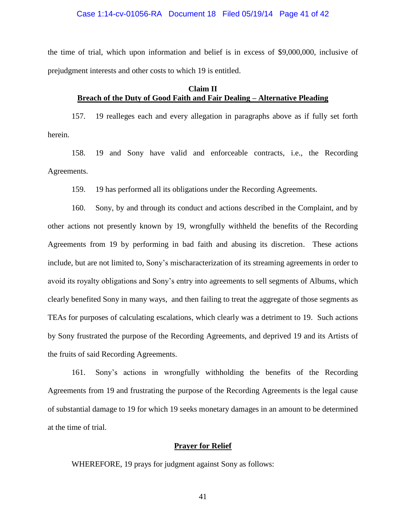#### Case 1:14-cv-01056-RA Document 18 Filed 05/19/14 Page 41 of 42

the time of trial, which upon information and belief is in excess of \$9,000,000, inclusive of prejudgment interests and other costs to which 19 is entitled.

## **Claim II Breach of the Duty of Good Faith and Fair Dealing – Alternative Pleading**

157. 19 realleges each and every allegation in paragraphs above as if fully set forth herein.

158. 19 and Sony have valid and enforceable contracts, i.e., the Recording Agreements.

159. 19 has performed all its obligations under the Recording Agreements.

160. Sony, by and through its conduct and actions described in the Complaint, and by other actions not presently known by 19, wrongfully withheld the benefits of the Recording Agreements from 19 by performing in bad faith and abusing its discretion. These actions include, but are not limited to, Sony's mischaracterization of its streaming agreements in order to avoid its royalty obligations and Sony's entry into agreements to sell segments of Albums, which clearly benefited Sony in many ways, and then failing to treat the aggregate of those segments as TEAs for purposes of calculating escalations, which clearly was a detriment to 19. Such actions by Sony frustrated the purpose of the Recording Agreements, and deprived 19 and its Artists of the fruits of said Recording Agreements.

161. Sony's actions in wrongfully withholding the benefits of the Recording Agreements from 19 and frustrating the purpose of the Recording Agreements is the legal cause of substantial damage to 19 for which 19 seeks monetary damages in an amount to be determined at the time of trial.

## **Prayer for Relief**

WHEREFORE, 19 prays for judgment against Sony as follows: